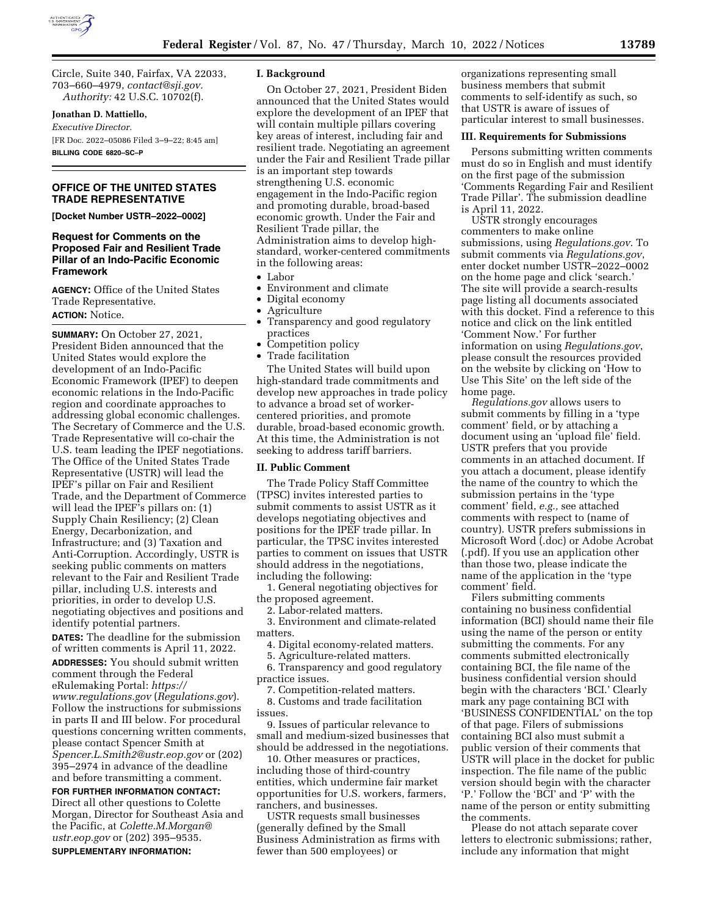Circle, Suite 340, Fairfax, VA 22033, 703–660–4979, *[contact@sji.gov.](mailto:contact@sji.gov)  Authority:* 42 U.S.C. 10702(f).

# **Jonathan D. Mattiello,**

*Executive Director.*  [FR Doc. 2022–05086 Filed 3–9–22; 8:45 am]

**BILLING CODE 6820–SC–P** 

### **OFFICE OF THE UNITED STATES TRADE REPRESENTATIVE**

**[Docket Number USTR–2022–0002]** 

### **Request for Comments on the Proposed Fair and Resilient Trade Pillar of an Indo-Pacific Economic Framework**

**AGENCY:** Office of the United States Trade Representative. **ACTION:** Notice.

**SUMMARY:** On October 27, 2021, President Biden announced that the United States would explore the development of an Indo-Pacific Economic Framework (IPEF) to deepen economic relations in the Indo-Pacific region and coordinate approaches to addressing global economic challenges. The Secretary of Commerce and the U.S. Trade Representative will co-chair the U.S. team leading the IPEF negotiations. The Office of the United States Trade Representative (USTR) will lead the IPEF's pillar on Fair and Resilient Trade, and the Department of Commerce will lead the IPEF's pillars on: (1) Supply Chain Resiliency; (2) Clean Energy, Decarbonization, and Infrastructure; and (3) Taxation and Anti-Corruption. Accordingly, USTR is seeking public comments on matters relevant to the Fair and Resilient Trade pillar, including U.S. interests and priorities, in order to develop U.S. negotiating objectives and positions and identify potential partners.

**DATES:** The deadline for the submission of written comments is April 11, 2022. **ADDRESSES:** You should submit written comment through the Federal eRulemaking Portal: *[https://](https://www.regulations.gov) [www.regulations.gov](https://www.regulations.gov)* (*Regulations.gov*). Follow the instructions for submissions in parts II and III below. For procedural questions concerning written comments, please contact Spencer Smith at *[Spencer.L.Smith2@ustr.eop.gov](mailto:Spencer.L.Smith2@ustr.eop.gov)* or (202) 395–2974 in advance of the deadline and before transmitting a comment.

### **FOR FURTHER INFORMATION CONTACT:**

Direct all other questions to Colette Morgan, Director for Southeast Asia and the Pacific, at *[Colette.M.Morgan@](mailto:Colette.M.Morgan@ustr.eop.gov) [ustr.eop.gov](mailto:Colette.M.Morgan@ustr.eop.gov)* or (202) 395–9535. **SUPPLEMENTARY INFORMATION:** 

### **I. Background**

On October 27, 2021, President Biden announced that the United States would explore the development of an IPEF that will contain multiple pillars covering key areas of interest, including fair and resilient trade. Negotiating an agreement under the Fair and Resilient Trade pillar is an important step towards strengthening U.S. economic engagement in the Indo-Pacific region and promoting durable, broad-based economic growth. Under the Fair and Resilient Trade pillar, the Administration aims to develop highstandard, worker-centered commitments in the following areas:

- Labor
- Environment and climate
- Digital economy
- Agriculture
- Transparency and good regulatory practices
- Competition policy
- Trade facilitation

The United States will build upon high-standard trade commitments and develop new approaches in trade policy to advance a broad set of workercentered priorities, and promote durable, broad-based economic growth. At this time, the Administration is not seeking to address tariff barriers.

### **II. Public Comment**

The Trade Policy Staff Committee (TPSC) invites interested parties to submit comments to assist USTR as it develops negotiating objectives and positions for the IPEF trade pillar. In particular, the TPSC invites interested parties to comment on issues that USTR should address in the negotiations, including the following:

1. General negotiating objectives for the proposed agreement.

2. Labor-related matters.

3. Environment and climate-related matters.

4. Digital economy-related matters.

5. Agriculture-related matters.

6. Transparency and good regulatory practice issues.

7. Competition-related matters.

8. Customs and trade facilitation issues.

9. Issues of particular relevance to small and medium-sized businesses that should be addressed in the negotiations.

10. Other measures or practices, including those of third-country entities, which undermine fair market opportunities for U.S. workers, farmers, ranchers, and businesses.

USTR requests small businesses (generally defined by the Small Business Administration as firms with fewer than 500 employees) or

organizations representing small business members that submit comments to self-identify as such, so that USTR is aware of issues of particular interest to small businesses.

#### **III. Requirements for Submissions**

Persons submitting written comments must do so in English and must identify on the first page of the submission 'Comments Regarding Fair and Resilient Trade Pillar'. The submission deadline is April 11, 2022.

USTR strongly encourages commenters to make online submissions, using *Regulations.gov*. To submit comments via *Regulations.gov*, enter docket number USTR–2022–0002 on the home page and click 'search.' The site will provide a search-results page listing all documents associated with this docket. Find a reference to this notice and click on the link entitled 'Comment Now.' For further information on using *Regulations.gov*, please consult the resources provided on the website by clicking on 'How to Use This Site' on the left side of the home page.

*Regulations.gov* allows users to submit comments by filling in a 'type comment' field, or by attaching a document using an 'upload file' field. USTR prefers that you provide comments in an attached document. If you attach a document, please identify the name of the country to which the submission pertains in the 'type comment' field, *e.g.,* see attached comments with respect to (name of country). USTR prefers submissions in Microsoft Word (.doc) or Adobe Acrobat (.pdf). If you use an application other than those two, please indicate the name of the application in the 'type comment' field.

Filers submitting comments containing no business confidential information (BCI) should name their file using the name of the person or entity submitting the comments. For any comments submitted electronically containing BCI, the file name of the business confidential version should begin with the characters 'BCI.' Clearly mark any page containing BCI with 'BUSINESS CONFIDENTIAL' on the top of that page. Filers of submissions containing BCI also must submit a public version of their comments that USTR will place in the docket for public inspection. The file name of the public version should begin with the character 'P.' Follow the 'BCI' and 'P' with the name of the person or entity submitting the comments.

Please do not attach separate cover letters to electronic submissions; rather, include any information that might